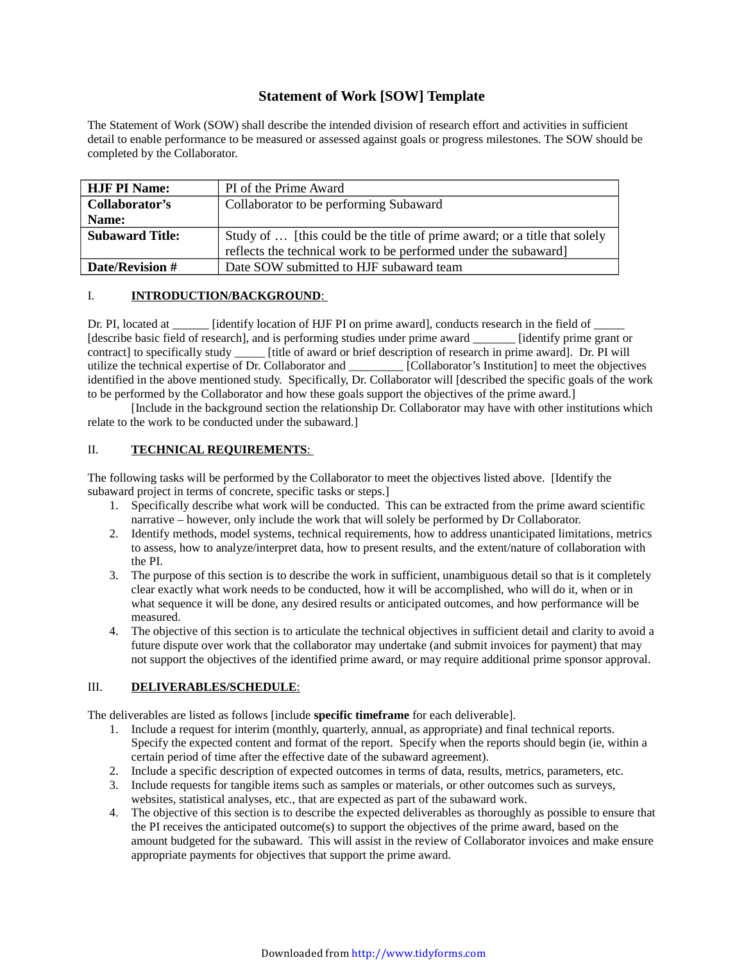# **Statement of Work [SOW] Template**

The Statement of Work (SOW) shall describe the intended division of research effort and activities in sufficient detail to enable performance to be measured or assessed against goals or progress milestones. The SOW should be completed by the Collaborator.

| <b>HJF PI Name:</b>    | PI of the Prime Award                                                     |
|------------------------|---------------------------------------------------------------------------|
| Collaborator's         | Collaborator to be performing Subaward                                    |
| Name:                  |                                                                           |
| <b>Subaward Title:</b> | Study of  [this could be the title of prime award; or a title that solely |
|                        | reflects the technical work to be performed under the subaward]           |
| <b>Date/Revision #</b> | Date SOW submitted to HJF subaward team                                   |
|                        |                                                                           |

## I. **INTRODUCTION/BACKGROUND**:

Dr. PI, located at  $\qquad$  [identify location of HJF PI on prime award], conducts research in the field of [describe basic field of research], and is performing studies under prime award \_\_\_\_\_\_\_ [identify prime grant or contract] to specifically study \_\_\_\_\_ [title of award or brief description of research in prime award]. Dr. PI will utilize the technical expertise of Dr. Collaborator and \_\_\_\_\_\_\_\_\_ [Collaborator's Institution] to meet the objectives identified in the above mentioned study. Specifically, Dr. Collaborator will [described the specific goals of the work to be performed by the Collaborator and how these goals support the objectives of the prime award.]

[Include in the background section the relationship Dr. Collaborator may have with other institutions which relate to the work to be conducted under the subaward.]

# II. **TECHNICAL REQUIREMENTS**:

The following tasks will be performed by the Collaborator to meet the objectives listed above. [Identify the subaward project in terms of concrete, specific tasks or steps.]

- 1. Specifically describe what work will be conducted. This can be extracted from the prime award scientific narrative – however, only include the work that will solely be performed by Dr Collaborator.
- 2. Identify methods, model systems, technical requirements, how to address unanticipated limitations, metrics to assess, how to analyze/interpret data, how to present results, and the extent/nature of collaboration with the PI.
- 3. The purpose of this section is to describe the work in sufficient, unambiguous detail so that is it completely clear exactly what work needs to be conducted, how it will be accomplished, who will do it, when or in what sequence it will be done, any desired results or anticipated outcomes, and how performance will be measured.
- 4. The objective of this section is to articulate the technical objectives in sufficient detail and clarity to avoid a future dispute over work that the collaborator may undertake (and submit invoices for payment) that may not support the objectives of the identified prime award, or may require additional prime sponsor approval.

#### III. **DELIVERABLES/SCHEDULE**:

The deliverables are listed as follows [include **specific timeframe** for each deliverable].

- 1. Include a request for interim (monthly, quarterly, annual, as appropriate) and final technical reports. Specify the expected content and format of the report. Specify when the reports should begin (ie, within a certain period of time after the effective date of the subaward agreement).
- 2. Include a specific description of expected outcomes in terms of data, results, metrics, parameters, etc.
- 3. Include requests for tangible items such as samples or materials, or other outcomes such as surveys, websites, statistical analyses, etc., that are expected as part of the subaward work.
- 4. The objective of this section is to describe the expected deliverables as thoroughly as possible to ensure that the PI receives the anticipated outcome(s) to support the objectives of the prime award, based on the amount budgeted for the subaward. This will assist in the review of Collaborator invoices and make ensure appropriate payments for objectives that support the prime award.